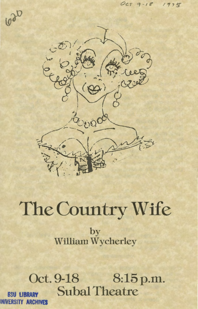

# The Country Wife

by William Wycherley

Oct. 9-18 8:15 p.m. **Subal Theatre BSU LIBRARY** INIVERSITY ARCHIVES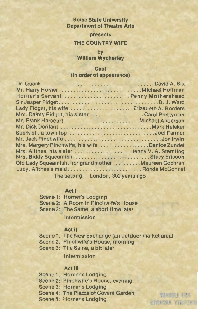# **Boise State University Department of Theatre Arts**

**presents** 

## **THE COUNTRY WIFE**

**by William Wycherley** 

#### **Cast**

#### **(in order of appearance)**

| Horner's Servant  Penny Mothershead                 |  |
|-----------------------------------------------------|--|
|                                                     |  |
| Lady Fidget, his wife  Elizabeth A. Borders         |  |
|                                                     |  |
|                                                     |  |
| Mr. Dick Dorilant  Mark Heleker                     |  |
| Sparkish, a town fop Joel Farmer                    |  |
|                                                     |  |
| Mrs. Margery Pinchwife, his wife Denice Zundel      |  |
| Mrs. Alithea, his sister Jenny V. A. Sternling      |  |
| Mrs. Biddy Squeamish  Stacy Ericson                 |  |
| Old Lady Squeamish, her grandmother Maureen Cochran |  |
| Lucy, Alithea's maidRonda McConnel                  |  |
| The satting, London 200 upors ago                   |  |

The setting: London, 302 years ago

# **Act I**

| Scene 2: A Room in Pinchwife's House<br>Scene 3: The Same, a short time later | Scene 1: Horner's Lodging |
|-------------------------------------------------------------------------------|---------------------------|
|                                                                               |                           |
|                                                                               |                           |

Intermission

## **Act** II

- Scene 1: The New Exchange (an outdoor market area)
- Scene 2; Pinchwife's House, morning
- Scene 3: The Same, a bit later

Intermission

#### **Act Ill**

Scene 1: Horner's Lodging Scene 2: Pinchwife's House, evening Scene 3: Horner's Lodging Scene 4: The Piazza of Covent Garden Scene 5: Horner's Lodging

VAASINIS UPB **CEYINGER YTICREWIN**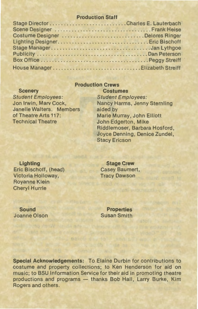## **Production Staff**

| Costume Designer Delores Ringer |  |
|---------------------------------|--|
|                                 |  |
| Stage ManagerJan Lythgoe        |  |
|                                 |  |
|                                 |  |
| House ManagerElizabeth Streiff  |  |

# **Production Crews**

# **Scenery**

Student Employees: Jon Irwin, Marv Cock, Janelle Walters. Members of Theatre Arts 117: Technical Theatre

**Costumes**  Student Employees: Nancy Harms, Jenny Sternling aided by Marie Murray, John Elliott John Edgerton, Mike Riddlemoser, Barbara Hosford, Joyce Denning, Denice Zundel, Stacy Ericson

**Lighting**  Eric Bischoff, (head) Victoria Holloway, Royanne Klein Cheryl Hurrle

**Stage Crew**  Casey Baumert, **Tracy Dawson** 

**Sound**  Joanne Olson **Properties** Susan Smith

**Special Acknowledgements:** To Elaine Durbin for contributions to costume and property collections; to Ken Henderson for aid on music; to BSU Information Service for their aid in promoting theatre productions and programs - thanks Bob Hall, Larry Burke, Kim Rogers and others.

Barol Chatta and LT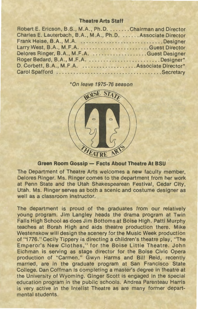## **Theatre Arts Staff**

| Robert E. Ericson, B.S., M.A., Ph.D. Chairman and Director   |
|--------------------------------------------------------------|
| Charles E. Lauterbach, B.A., M.A., Ph.D.  Associate Director |
|                                                              |
|                                                              |
|                                                              |
| Roger Bedard, B.A., M.F.A. Designer*                         |
|                                                              |
|                                                              |

#### \*On leave 1975-76 season



# **Green Room Gossip- Facts About Theatre At BSU**

The Department of Theatre Arts welcomes a new faculty member, Delores Ringer. Ms. Ringer comes to the department from her work at Penn State and the Utah Shakespearean Festival, Cedar City, Utah. Ms. Ringer serves as both a scenic and costume designer as well as a classroom instructor.

The department is proud of the graduates from our relatively young program. Jim Langley heads the drama program at Twin Falls High School as does Jim Bottoms at Boise High. Patti Murphy teaches at Borah High and aids theatre production there. Mike Westenskow will design the scenery for the Music Week production of "1776." Cecily Tippery is directing a children's theatre play, "The Emperor's New Clothes," for the Boise Little Theatre. John Eichman is serving as stage director for the Boise Civic Opera production of "Carmen." Gwyn Harms and Bill Reid, recently married, are in the graduate program at San Francisco State College. Dan Coffman is completing a master's degree in theatre at the University of Wyoming. Ginger Scott is engaged in the special education program in the public schools. Andrea Parenteau Harris is very active in the lntelist Theatre as are many former departmental students.